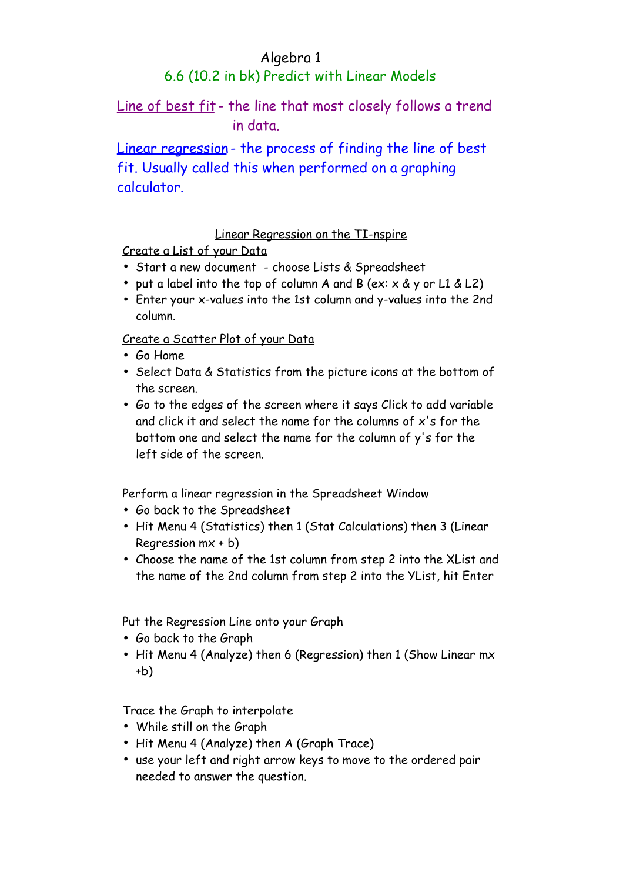### Algebra 1

# 6.6 (10.2 in bk) Predict with Linear Models

# Line of best fit - the line that most closely follows a trend in data.

Linear regression - the process of finding the line of best fit. Usually called this when performed on a graphing calculator.

### Linear Regression on the TI-nspire

Create a List of your Data

- Start a new document choose Lists & Spreadsheet
- put a label into the top of column A and B (ex:  $\times$  &  $\times$  or L1 & L2)
- Enter your x-values into the 1st column and y-values into the 2nd column.

Create a Scatter Plot of your Data

- Go Home
- Select Data & Statistics from the picture icons at the bottom of the screen.
- Go to the edges of the screen where it says Click to add variable and click it and select the name for the columns of x's for the bottom one and select the name for the column of y's for the left side of the screen.

#### Perform a linear regression in the Spreadsheet Window

- Go back to the Spreadsheet
- Hit Menu 4 (Statistics) then 1 (Stat Calculations) then 3 (Linear Regression mx + b)
- Choose the name of the 1st column from step 2 into the XList and the name of the 2nd column from step 2 into the YList, hit Enter

#### Put the Regression Line onto your Graph

- Go back to the Graph
- Hit Menu 4 (Analyze) then 6 (Regression) then 1 (Show Linear mx +b)

#### Trace the Graph to interpolate

- While still on the Graph
- Hit Menu 4 (Analyze) then A (Graph Trace)
- use your left and right arrow keys to move to the ordered pair needed to answer the question.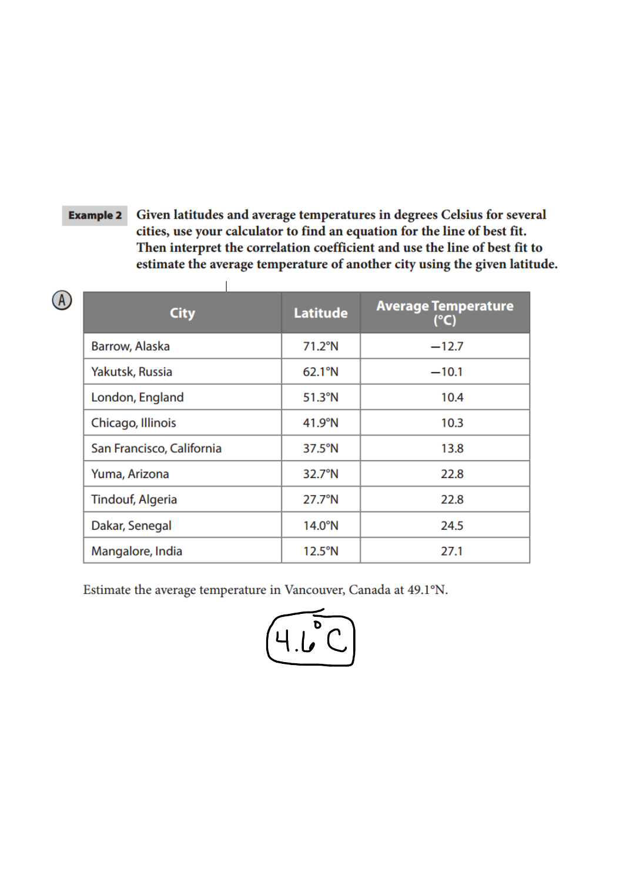#### Given latitudes and average temperatures in degrees Celsius for several **Example 2** cities, use your calculator to find an equation for the line of best fit. Then interpret the correlation coefficient and use the line of best fit to estimate the average temperature of another city using the given latitude.

 $\overline{1}$ 

| <b>City</b>               | <b>Latitude</b>  | <b>Average Temperature</b><br>(°C) |
|---------------------------|------------------|------------------------------------|
| Barrow, Alaska            | $71.2^{\circ}$ N | $-12.7$                            |
| Yakutsk, Russia           | 62.1°N           | $-10.1$                            |
| London, England           | $51.3^{\circ}$ N | 10.4                               |
| Chicago, Illinois         | $41.9^\circ$ N   | 10.3                               |
| San Francisco, California | $37.5^{\circ}$ N | 13.8                               |
| Yuma, Arizona             | 32.7°N           | 22.8                               |
| <b>Tindouf, Algeria</b>   | $27.7^{\circ}$ N | 22.8                               |
| Dakar, Senegal            | $14.0^\circ$ N   | 24.5                               |
| Mangalore, India          | $12.5^{\circ}$ N | 27.1                               |

Estimate the average temperature in Vancouver, Canada at 49.1°N.

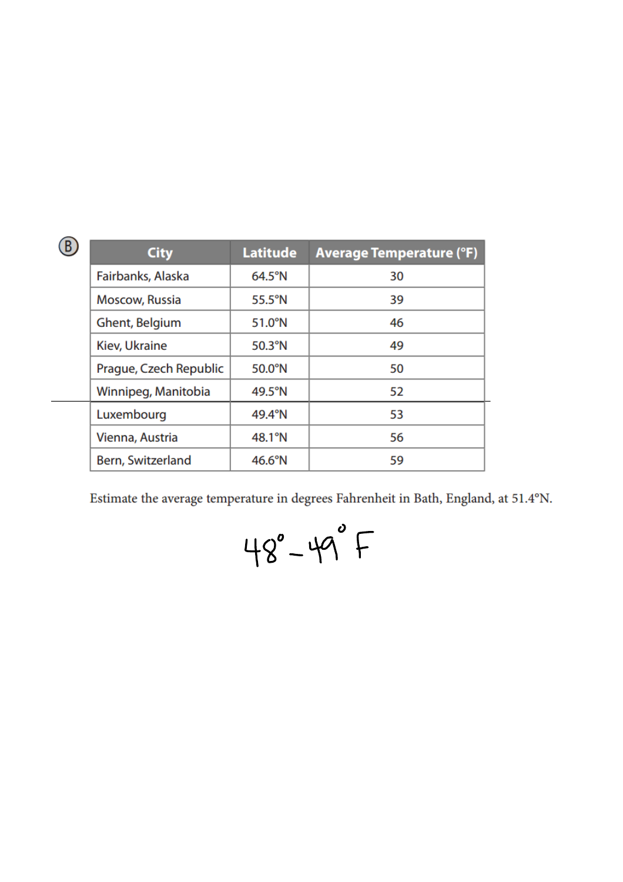|  | <b>City</b>            | <b>Latitude</b>  | <b>Average Temperature (°F)</b> |
|--|------------------------|------------------|---------------------------------|
|  | Fairbanks, Alaska      | $64.5^{\circ}$ N | 30                              |
|  | Moscow, Russia         | $55.5^{\circ}$ N | 39                              |
|  | Ghent, Belgium         | $51.0^\circ N$   | 46                              |
|  | Kiev, Ukraine          | $50.3^\circ N$   | 49                              |
|  | Prague, Czech Republic | $50.0^\circ N$   | 50                              |
|  | Winnipeg, Manitobia    | 49.5°N           | 52                              |
|  | Luxembourg             | 49.4°N           | 53                              |
|  | Vienna, Austria        | 48.1°N           | 56                              |
|  | Bern, Switzerland      | $46.6^{\circ}$ N | 59                              |

Estimate the average temperature in degrees Fahrenheit in Bath, England, at 51.4°N.

$$
48^\circ - 49^\circ +
$$